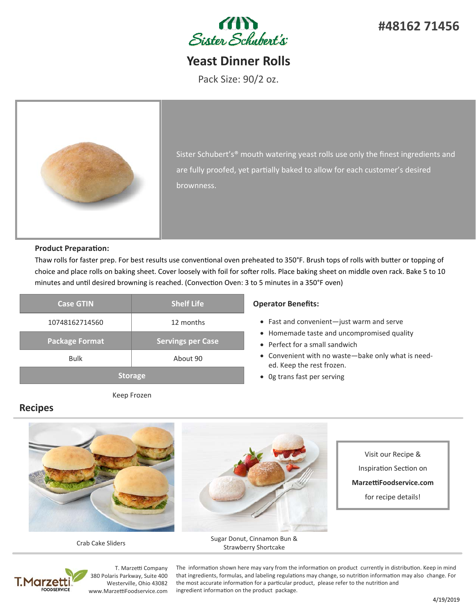

**#48162 71456**

# **Yeast Dinner Rolls**

Pack Size: 90/2 oz.



Sister Schubert's® mouth watering yeast rolls use only the finest ingredients and are fully proofed, yet partially baked to allow for each customer's desired brownness.

## **Product Preparation:**

Thaw rolls for faster prep. For best results use conventional oven preheated to 350°F. Brush tops of rolls with butter or topping of choice and place rolls on baking sheet. Cover loosely with foil for softer rolls. Place baking sheet on middle oven rack. Bake 5 to 10 minutes and until desired browning is reached. (Convection Oven: 3 to 5 minutes in a 350°F oven)

| <b>Case GTIN</b>      | <b>Shelf Life</b>        |  |  |
|-----------------------|--------------------------|--|--|
| 10748162714560        | 12 months                |  |  |
| <b>Package Format</b> | <b>Servings per Case</b> |  |  |
| <b>Bulk</b>           | About 90                 |  |  |
| <b>Storage</b>        |                          |  |  |

Keep Frozen

## **Operator Benefits:**

- Fast and convenient—just warm and serve
- Homemade taste and uncompromised quality
- Perfect for a small sandwich
- Convenient with no waste-bake only what is needed. Keep the rest frozen.
- 0g trans fast per serving

## **Recipes**



Crab Cake Sliders



Sugar Donut, Cinnamon Bun & Strawberry Shortcake

Visit our Recipe & InspiraƟon SecƟon on **MarzeƫFoodservice.com**  for recipe details!



T. Marzetti Company 380 Polaris Parkway, Suite 400 Westerville, Ohio 43082 www.MarzettiFoodservice.com

The information shown here may vary from the information on product currently in distribution. Keep in mind that ingredients, formulas, and labeling regulations may change, so nutrition information may also change. For the most accurate information for a particular product, please refer to the nutrition and ingredient information on the product package.